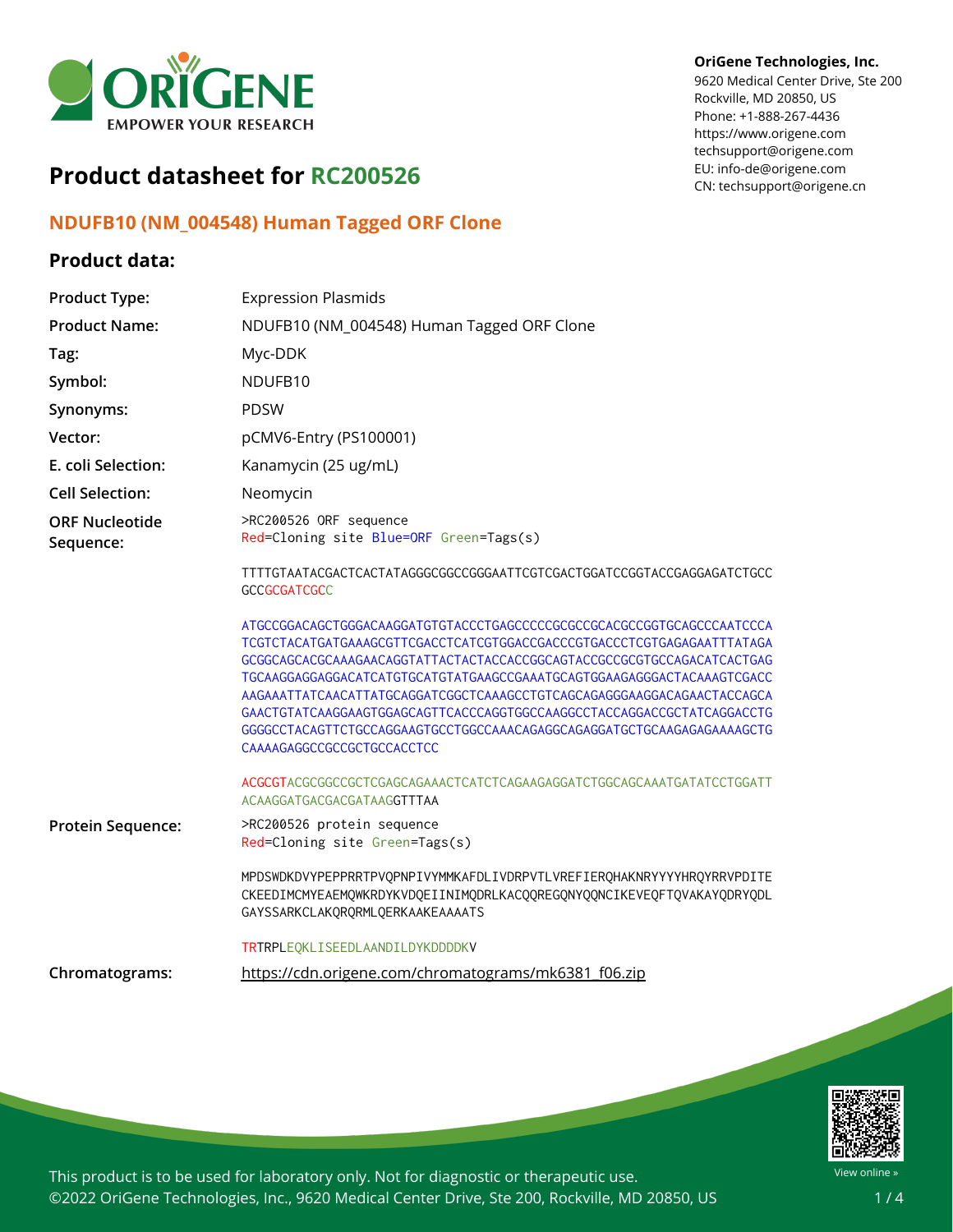

# **Product datasheet for RC200526**

# **NDUFB10 (NM\_004548) Human Tagged ORF Clone**

## **Product data:**

#### **OriGene Technologies, Inc.**

9620 Medical Center Drive, Ste 200 Rockville, MD 20850, US Phone: +1-888-267-4436 https://www.origene.com techsupport@origene.com EU: info-de@origene.com CN: techsupport@origene.cn

| <b>Product Type:</b>               | <b>Expression Plasmids</b>                                                                                                                                                                                                                                                                                                                                                                                                                                                                                                                                        |
|------------------------------------|-------------------------------------------------------------------------------------------------------------------------------------------------------------------------------------------------------------------------------------------------------------------------------------------------------------------------------------------------------------------------------------------------------------------------------------------------------------------------------------------------------------------------------------------------------------------|
| <b>Product Name:</b>               | NDUFB10 (NM_004548) Human Tagged ORF Clone                                                                                                                                                                                                                                                                                                                                                                                                                                                                                                                        |
| Tag:                               | Myc-DDK                                                                                                                                                                                                                                                                                                                                                                                                                                                                                                                                                           |
| Symbol:                            | NDUFB10                                                                                                                                                                                                                                                                                                                                                                                                                                                                                                                                                           |
| Synonyms:                          | <b>PDSW</b>                                                                                                                                                                                                                                                                                                                                                                                                                                                                                                                                                       |
| Vector:                            | pCMV6-Entry (PS100001)                                                                                                                                                                                                                                                                                                                                                                                                                                                                                                                                            |
| E. coli Selection:                 | Kanamycin (25 ug/mL)                                                                                                                                                                                                                                                                                                                                                                                                                                                                                                                                              |
| <b>Cell Selection:</b>             | Neomycin                                                                                                                                                                                                                                                                                                                                                                                                                                                                                                                                                          |
| <b>ORF Nucleotide</b><br>Sequence: | >RC200526 ORF sequence<br>Red=Cloning site Blue=ORF Green=Tags(s)                                                                                                                                                                                                                                                                                                                                                                                                                                                                                                 |
|                                    | TTTTGTAATACGACTCACTATAGGGCGGCCGGGAATTCGTCGACTGGATCCGGTACCGAGGAGATCTGCC<br><b>GCCGCGATCGCC</b>                                                                                                                                                                                                                                                                                                                                                                                                                                                                     |
|                                    | ATGCCGGACAGCTGGGACAAGGATGTGTACCCTGAGCCCCCGCGCCGCACGCCGGTGCAGCCCAATCCCA<br>TCGTCTACATGATGAAAGCGTTCGACCTCATCGTGGACCCGACCCGTGACCCTCGTGAGAGAATTTATAGA<br>GCGGCAGCACGCAAAGAACAGGTATTACTACTACCACCGGCAGTACCGCCGCGTGCCAGACATCACTGAG<br>TGCAAGGAGGAGGACATCATGTGCATGTATGAAGCCGAAATGCAGTGGAAGAGGGACTACAAAGTCGACC<br>AAGAAATTATCAACATTATGCAGGATCGGCTCAAAGCCTGTCAGCAGAGGGAAGGACAGAACTACCAGCA<br>GAACTGTATCAAGGAAGTGGAGCAGTTCACCCAGGTGGCCAAGGCCTACCAGGACCGCTATCAGGACCTG<br>GGGGCCTACAGTTCTGCCAGGAAGTGCCTGGCCAAACAGAGGCAGAGGATGCTGCAAGAGAGAAAAGCTG<br>CAAAAGAGGCCGCCGCTGCCACCTCC |
|                                    | ACGCGTACGCGGCCGCTCGAGCAGAAACTCATCTCAGAAGAGGATCTGGCAGCAAATGATATCCTGGATT<br>ACAAGGATGACGACGATAAGGTTTAA                                                                                                                                                                                                                                                                                                                                                                                                                                                              |
| Protein Sequence:                  | >RC200526 protein sequence<br>Red=Cloning site Green=Tags(s)                                                                                                                                                                                                                                                                                                                                                                                                                                                                                                      |
|                                    | MPDSWDKDVYPEPPRRTPVQPNPIVYMMKAFDLIVDRPVTLVREFIERQHAKNRYYYYHRQYRRVPDITE<br>CKEEDIMCMYEAEMQWKRDYKVDQEIINIMQDRLKACQQREGQNYQQNCIKEVEQFTQVAKAYQDRYQDL<br>GAYSSARKCLAKQRQRMLQERKAAKEAAAATS                                                                                                                                                                                                                                                                                                                                                                              |
|                                    | TRTRPLEQKLISEEDLAANDILDYKDDDDKV                                                                                                                                                                                                                                                                                                                                                                                                                                                                                                                                   |
| Chromatograms:                     | https://cdn.origene.com/chromatograms/mk6381 f06.zip                                                                                                                                                                                                                                                                                                                                                                                                                                                                                                              |



This product is to be used for laboratory only. Not for diagnostic or therapeutic use. ©2022 OriGene Technologies, Inc., 9620 Medical Center Drive, Ste 200, Rockville, MD 20850, US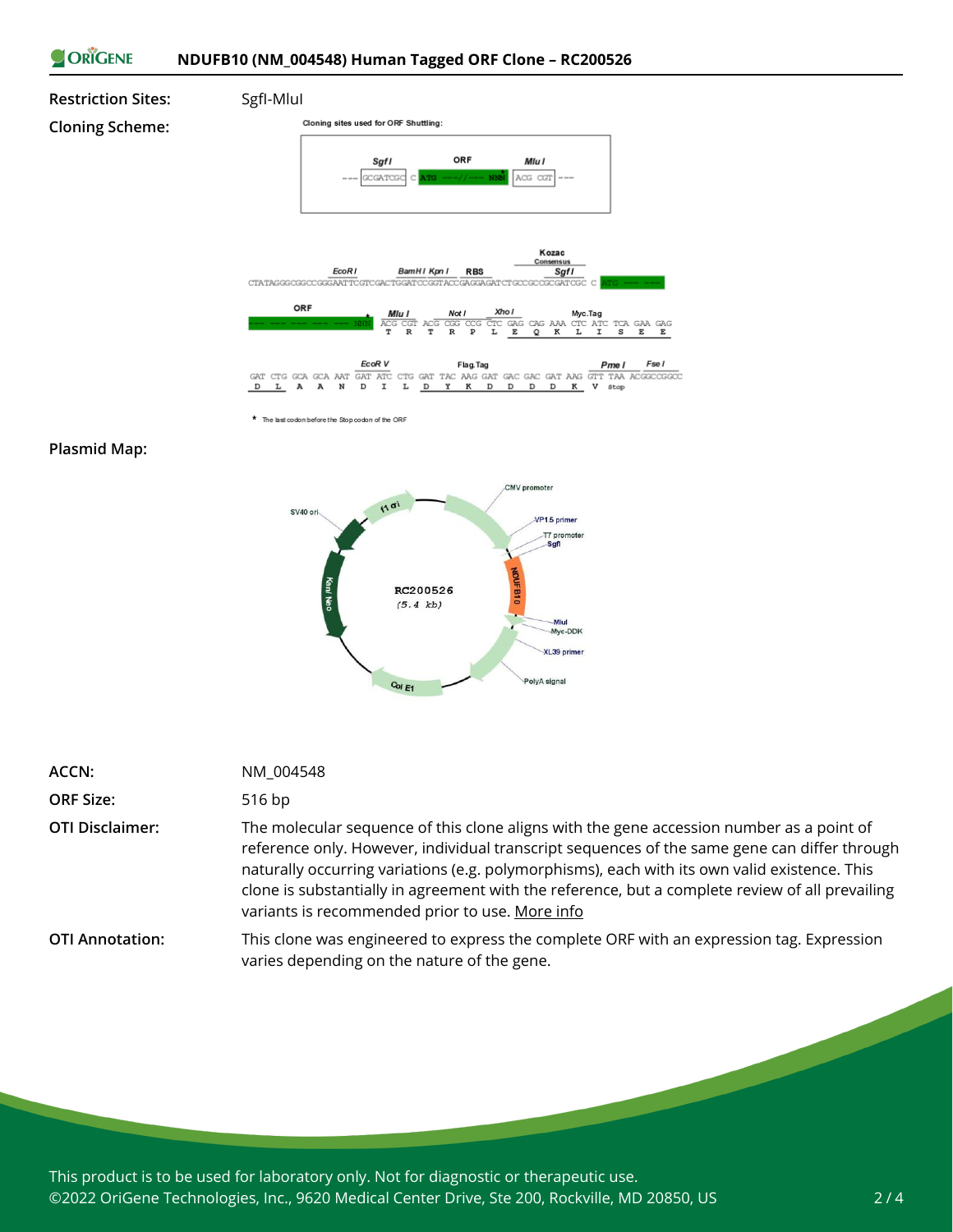



\* The last codon before the Stop codon of the ORF

#### **Plasmid Map:**

**Cloning Scheme:**



| ACCN:                  | NM 004548                                                                                                                                                                                                                                                                                                                                                                                                                                      |
|------------------------|------------------------------------------------------------------------------------------------------------------------------------------------------------------------------------------------------------------------------------------------------------------------------------------------------------------------------------------------------------------------------------------------------------------------------------------------|
| <b>ORF Size:</b>       | 516 bp                                                                                                                                                                                                                                                                                                                                                                                                                                         |
| <b>OTI Disclaimer:</b> | The molecular sequence of this clone aligns with the gene accession number as a point of<br>reference only. However, individual transcript sequences of the same gene can differ through<br>naturally occurring variations (e.g. polymorphisms), each with its own valid existence. This<br>clone is substantially in agreement with the reference, but a complete review of all prevailing<br>variants is recommended prior to use. More info |
| <b>OTI Annotation:</b> | This clone was engineered to express the complete ORF with an expression tag. Expression<br>varies depending on the nature of the gene.                                                                                                                                                                                                                                                                                                        |

This product is to be used for laboratory only. Not for diagnostic or therapeutic use. ©2022 OriGene Technologies, Inc., 9620 Medical Center Drive, Ste 200, Rockville, MD 20850, US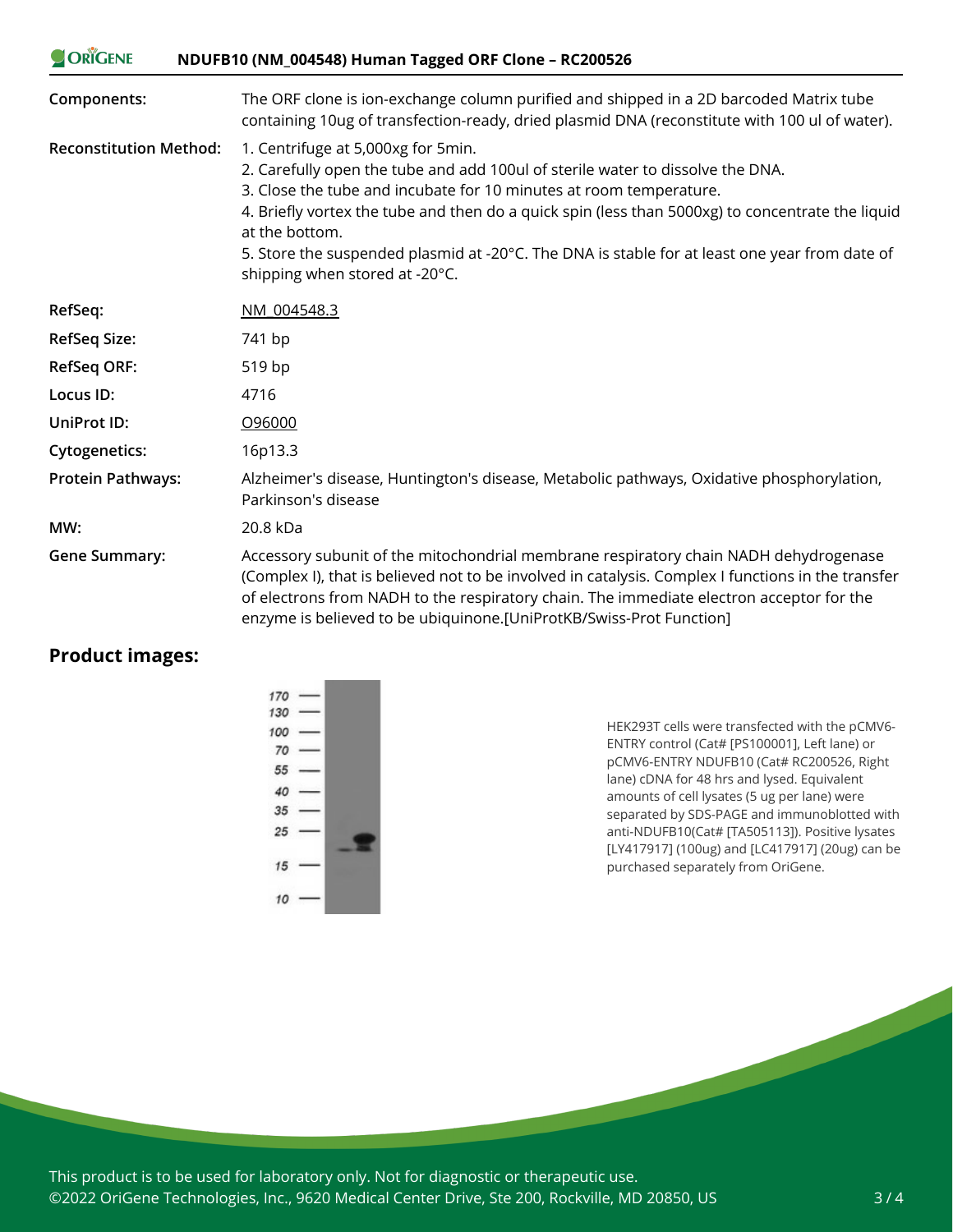| ORIGENE                       | NDUFB10 (NM_004548) Human Tagged ORF Clone - RC200526                                                                                                                                                                                                                                                                                                                                                                                               |
|-------------------------------|-----------------------------------------------------------------------------------------------------------------------------------------------------------------------------------------------------------------------------------------------------------------------------------------------------------------------------------------------------------------------------------------------------------------------------------------------------|
| Components:                   | The ORF clone is ion-exchange column purified and shipped in a 2D barcoded Matrix tube<br>containing 10ug of transfection-ready, dried plasmid DNA (reconstitute with 100 ul of water).                                                                                                                                                                                                                                                             |
| <b>Reconstitution Method:</b> | 1. Centrifuge at 5,000xg for 5min.<br>2. Carefully open the tube and add 100ul of sterile water to dissolve the DNA.<br>3. Close the tube and incubate for 10 minutes at room temperature.<br>4. Briefly vortex the tube and then do a quick spin (less than 5000xg) to concentrate the liquid<br>at the bottom.<br>5. Store the suspended plasmid at -20°C. The DNA is stable for at least one year from date of<br>shipping when stored at -20°C. |
| RefSeq:                       | NM 004548.3                                                                                                                                                                                                                                                                                                                                                                                                                                         |
| <b>RefSeq Size:</b>           | 741 bp                                                                                                                                                                                                                                                                                                                                                                                                                                              |
| <b>RefSeq ORF:</b>            | 519 bp                                                                                                                                                                                                                                                                                                                                                                                                                                              |
| Locus ID:                     | 4716                                                                                                                                                                                                                                                                                                                                                                                                                                                |
| <b>UniProt ID:</b>            | O96000                                                                                                                                                                                                                                                                                                                                                                                                                                              |
| <b>Cytogenetics:</b>          | 16p13.3                                                                                                                                                                                                                                                                                                                                                                                                                                             |
| <b>Protein Pathways:</b>      | Alzheimer's disease, Huntington's disease, Metabolic pathways, Oxidative phosphorylation,<br>Parkinson's disease                                                                                                                                                                                                                                                                                                                                    |
| MW:                           | 20.8 kDa                                                                                                                                                                                                                                                                                                                                                                                                                                            |
| <b>Gene Summary:</b>          | Accessory subunit of the mitochondrial membrane respiratory chain NADH dehydrogenase<br>(Complex I), that is believed not to be involved in catalysis. Complex I functions in the transfer<br>of electrons from NADH to the respiratory chain. The immediate electron acceptor for the<br>enzyme is believed to be ubiquinone.[UniProtKB/Swiss-Prot Function]                                                                                       |

## **Product images:**

HEK293T cells were transfected with the pCMV6- ENTRY control (Cat# [PS100001], Left lane) or pCMV6-ENTRY NDUFB10 (Cat# RC200526, Right lane) cDNA for 48 hrs and lysed. Equivalent amounts of cell lysates (5 ug per lane) were separated by SDS-PAGE and immunoblotted with anti-NDUFB10(Cat# [TA505113]). Positive lysates [LY417917] (100ug) and [LC417917] (20ug) can be purchased separately from OriGene.

This product is to be used for laboratory only. Not for diagnostic or therapeutic use. ©2022 OriGene Technologies, Inc., 9620 Medical Center Drive, Ste 200, Rockville, MD 20850, US